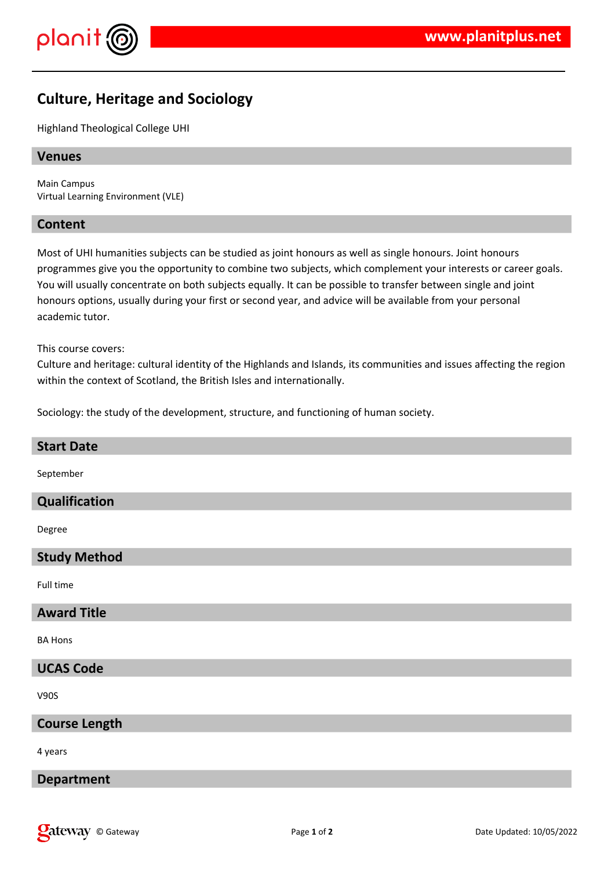

# **Culture, Heritage and Sociology**

Highland Theological College UHI

### **Venues**

Main Campus Virtual Learning Environment (VLE)

### **Content**

Most of UHI humanities subjects can be studied as joint honours as well as single honours. Joint honours programmes give you the opportunity to combine two subjects, which complement your interests or career goals. You will usually concentrate on both subjects equally. It can be possible to transfer between single and joint honours options, usually during your first or second year, and advice will be available from your personal academic tutor.

This course covers:

Culture and heritage: cultural identity of the Highlands and Islands, its communities and issues affecting the region within the context of Scotland, the British Isles and internationally.

Sociology: the study of the development, structure, and functioning of human society.

| <b>Start Date</b>    |
|----------------------|
| September            |
| Qualification        |
| Degree               |
| <b>Study Method</b>  |
| Full time            |
| <b>Award Title</b>   |
| <b>BA Hons</b>       |
| <b>UCAS Code</b>     |
| V90S                 |
| <b>Course Length</b> |
| 4 years              |
| <b>Department</b>    |
|                      |